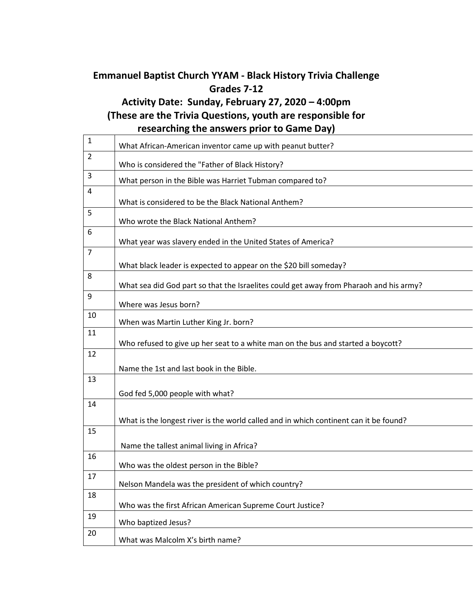## **Emmanuel Baptist Church YYAM - Black History Trivia Challenge Grades 7-12**

## **Activity Date: Sunday, February 27, 2020 – 4:00pm (These are the Trivia Questions, youth are responsible for researching the answers prior to Game Day)**

| $\mathbf{1}$   | What African-American inventor came up with peanut butter?                             |
|----------------|----------------------------------------------------------------------------------------|
| $\overline{2}$ | Who is considered the "Father of Black History?                                        |
| $\overline{3}$ | What person in the Bible was Harriet Tubman compared to?                               |
| $\overline{4}$ | What is considered to be the Black National Anthem?                                    |
| 5              | Who wrote the Black National Anthem?                                                   |
| 6              | What year was slavery ended in the United States of America?                           |
| $\overline{7}$ | What black leader is expected to appear on the \$20 bill someday?                      |
| 8              | What sea did God part so that the Israelites could get away from Pharaoh and his army? |
| 9              | Where was Jesus born?                                                                  |
| 10             | When was Martin Luther King Jr. born?                                                  |
| 11             | Who refused to give up her seat to a white man on the bus and started a boycott?       |
| 12             | Name the 1st and last book in the Bible.                                               |
| 13             | God fed 5,000 people with what?                                                        |
| 14             | What is the longest river is the world called and in which continent can it be found?  |
| 15             | Name the tallest animal living in Africa?                                              |
| 16             | Who was the oldest person in the Bible?                                                |
| 17             | Nelson Mandela was the president of which country?                                     |
| 18             | Who was the first African American Supreme Court Justice?                              |
| 19             | Who baptized Jesus?                                                                    |
| 20             | What was Malcolm X's birth name?                                                       |